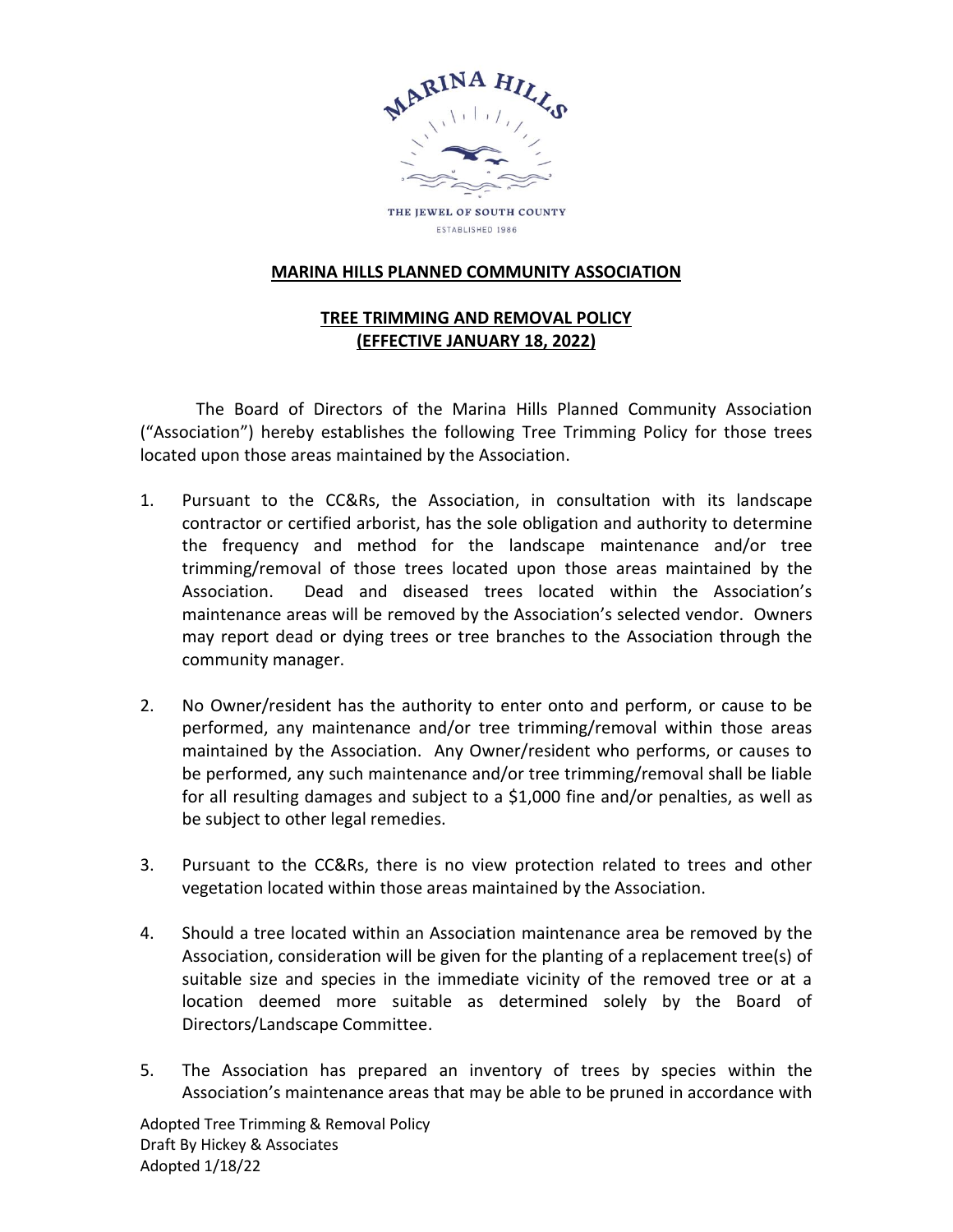

ESTABLISHED 1986

## **MARINA HILLS PLANNED COMMUNITY ASSOCIATION**

## **TREE TRIMMING AND REMOVAL POLICY (EFFECTIVE JANUARY 18, 2022)**

The Board of Directors of the Marina Hills Planned Community Association ("Association") hereby establishes the following Tree Trimming Policy for those trees located upon those areas maintained by the Association.

- 1. Pursuant to the CC&Rs, the Association, in consultation with its landscape contractor or certified arborist, has the sole obligation and authority to determine the frequency and method for the landscape maintenance and/or tree trimming/removal of those trees located upon those areas maintained by the Association. Dead and diseased trees located within the Association's maintenance areas will be removed by the Association's selected vendor. Owners may report dead or dying trees or tree branches to the Association through the community manager.
- 2. No Owner/resident has the authority to enter onto and perform, or cause to be performed, any maintenance and/or tree trimming/removal within those areas maintained by the Association. Any Owner/resident who performs, or causes to be performed, any such maintenance and/or tree trimming/removal shall be liable for all resulting damages and subject to a \$1,000 fine and/or penalties, as well as be subject to other legal remedies.
- 3. Pursuant to the CC&Rs, there is no view protection related to trees and other vegetation located within those areas maintained by the Association.
- 4. Should a tree located within an Association maintenance area be removed by the Association, consideration will be given for the planting of a replacement tree(s) of suitable size and species in the immediate vicinity of the removed tree or at a location deemed more suitable as determined solely by the Board of Directors/Landscape Committee.
- 5. The Association has prepared an inventory of trees by species within the Association's maintenance areas that may be able to be pruned in accordance with

Adopted Tree Trimming & Removal Policy Draft By Hickey & Associates Adopted 1/18/22